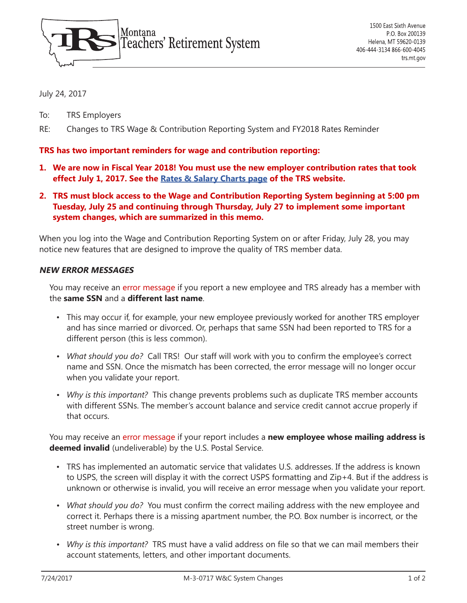

July 24, 2017

- To: TRS Employers
- RE: Changes to TRS Wage & Contribution Reporting System and FY2018 Rates Reminder

## **TRS has two important reminders for wage and contribution reporting:**

- **1. We are now in Fiscal Year 2018! You must use the new employer contribution rates that took effect July 1, 2017. See the [Rates & Salary Charts page](https://trs.mt.gov/TrsInfo/RatesCharts) of the TRS website.**
- **2. TRS must block access to the Wage and Contribution Reporting System beginning at 5:00 pm Tuesday, July 25 and continuing through Thursday, July 27 to implement some important system changes, which are summarized in this memo.**

When you log into the Wage and Contribution Reporting System on or after Friday, July 28, you may notice new features that are designed to improve the quality of TRS member data.

### **NEW ERROR MESSAGES**

You may receive an error message if you report a new employee and TRS already has a member with the **same SSN** and a **different last name**.

- This may occur if, for example, your new employee previously worked for another TRS employer and has since married or divorced. Or, perhaps that same SSN had been reported to TRS for a different person (this is less common).
- *• What should you do?* Call TRS! Our staff will work with you to confirm the employee's correct name and SSN. Once the mismatch has been corrected, the error message will no longer occur when you validate your report.
- *• Why is this important?* This change prevents problems such as duplicate TRS member accounts with different SSNs. The member's account balance and service credit cannot accrue properly if that occurs.

You may receive an error message if your report includes a **new employee whose mailing address is deemed invalid** (undeliverable) by the U.S. Postal Service.

- TRS has implemented an automatic service that validates U.S. addresses. If the address is known to USPS, the screen will display it with the correct USPS formatting and Zip+4. But if the address is unknown or otherwise is invalid, you will receive an error message when you validate your report.
- *• What should you do?* You must confirm the correct mailing address with the new employee and correct it. Perhaps there is a missing apartment number, the P.O. Box number is incorrect, or the street number is wrong.
- *• Why is this important?* TRS must have a valid address on file so that we can mail members their account statements, letters, and other important documents.